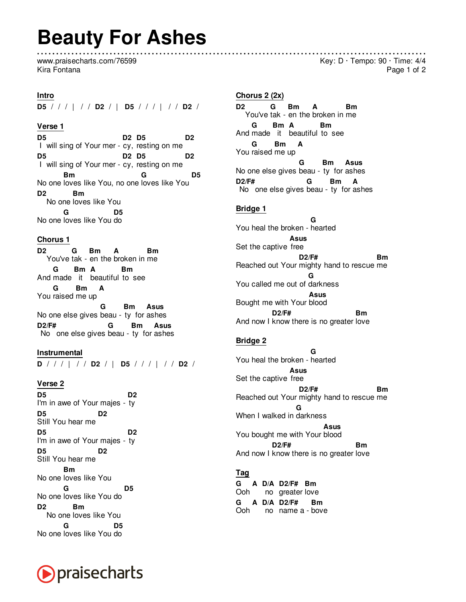# **Beauty For Ashes**

www.praisecharts.com/76599 Kira Fontana

#### **Intro**

**D5** / / / | / / **D2** / | **D5** / / / | / / **D2** /

#### **Verse 1**

**D5** I will sing of Your mer - cy, resting on me **D2 D5 D2 D5** I will sing of Your mer - cy, resting on me **D2 D5 D2** No one loves like You, no one loves like You **Bm G D5 D2** No one loves like You **Bm** No one loves like You do **G D5**

### **Chorus 1**

**D2** You've tak - en the broken in me **G Bm A Bm** And made it beautiful to see **G Bm A Bm** You raised me up **G Bm A** No one else gives beau - ty for ashes **G Bm Asus D2/F#** No one else gives beau - ty for ashes **G Bm Asus**

**Instrumental D** / / / | / / **D2** / | **D5** / / / | / / **D2** /

#### **Verse 2**

**D5** I'm in awe of Your majes - ty **D2 D5** Still You hear me **D2 D5** I'm in awe of Your majes - ty **D2 D5** Still You hear me **D2** No one loves like You **Bm** No one loves like You do **G D5 D2** No one loves like You **Bm** No one loves like You do **G D5**



## **Chorus 2 (2x)**

**D2** You've tak - en the broken in me **G Bm A Bm** And made it beautiful to see **G Bm A Bm** You raised me up **G Bm A** No one else gives beau - ty for ashes **G Bm Asus D2/F#** No one else gives beau - ty for ashes **G Bm A**

## **Bridge 1**

You heal the broken - hearted **G** Set the captive free **Asus** Reached out Your mighty hand to rescue me **D2/F# Bm** You called me out of darkness **G** Bought me with Your blood **Asus** And now I know there is no greater love **D2/F# Bm**

## **Bridge 2**

You heal the broken - hearted **G** Set the captive free **Asus** Reached out Your mighty hand to rescue me **D2/F# Bm** When I walked in darkness **G** You bought me with Your blood **Asus** And now I know there is no greater love **D2/F# Bm**

## **Tag**

**G A D/A D2/F# Bm** Ooh no greater love **G A D/A D2/F#** Ooh no name a - bove **Bm**

Key:  $D \cdot$  Tempo:  $90 \cdot$  Time:  $4/4$ Page 1 of 2